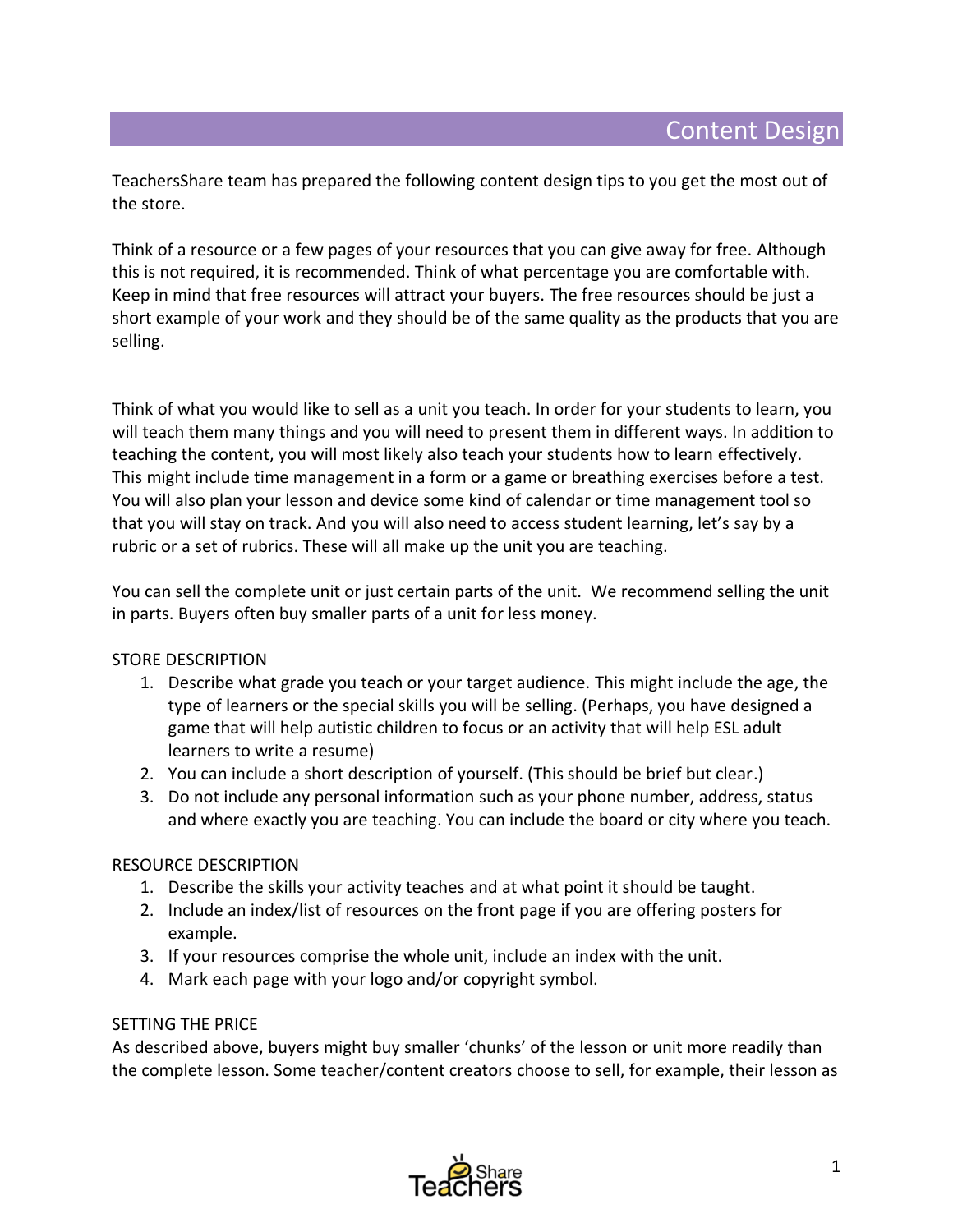TeachersShare team has prepared the following content design tips to you get the most out of the store.

Think of a resource or a few pages of your resources that you can give away for free. Although this is not required, it is recommended. Think of what percentage you are comfortable with. Keep in mind that free resources will attract your buyers. The free resources should be just a short example of your work and they should be of the same quality as the products that you are selling.

Think of what you would like to sell as a unit you teach. In order for your students to learn, you will teach them many things and you will need to present them in different ways. In addition to teaching the content, you will most likely also teach your students how to learn effectively. This might include time management in a form or a game or breathing exercises before a test. You will also plan your lesson and device some kind of calendar or time management tool so that you will stay on track. And you will also need to access student learning, let's say by a rubric or a set of rubrics. These will all make up the unit you are teaching.

You can sell the complete unit or just certain parts of the unit. We recommend selling the unit in parts. Buyers often buy smaller parts of a unit for less money.

## STORE DESCRIPTION

- 1. Describe what grade you teach or your target audience. This might include the age, the type of learners or the special skills you will be selling. (Perhaps, you have designed a game that will help autistic children to focus or an activity that will help ESL adult learners to write a resume)
- 2. You can include a short description of yourself. (This should be brief but clear.)
- 3. Do not include any personal information such as your phone number, address, status and where exactly you are teaching. You can include the board or city where you teach.

## RESOURCE DESCRIPTION

- 1. Describe the skills your activity teaches and at what point it should be taught.
- 2. Include an index/list of resources on the front page if you are offering posters for example.
- 3. If your resources comprise the whole unit, include an index with the unit.
- 4. Mark each page with your logo and/or copyright symbol.

## SETTING THE PRICE

As described above, buyers might buy smaller 'chunks' of the lesson or unit more readily than the complete lesson. Some teacher/content creators choose to sell, for example, their lesson as

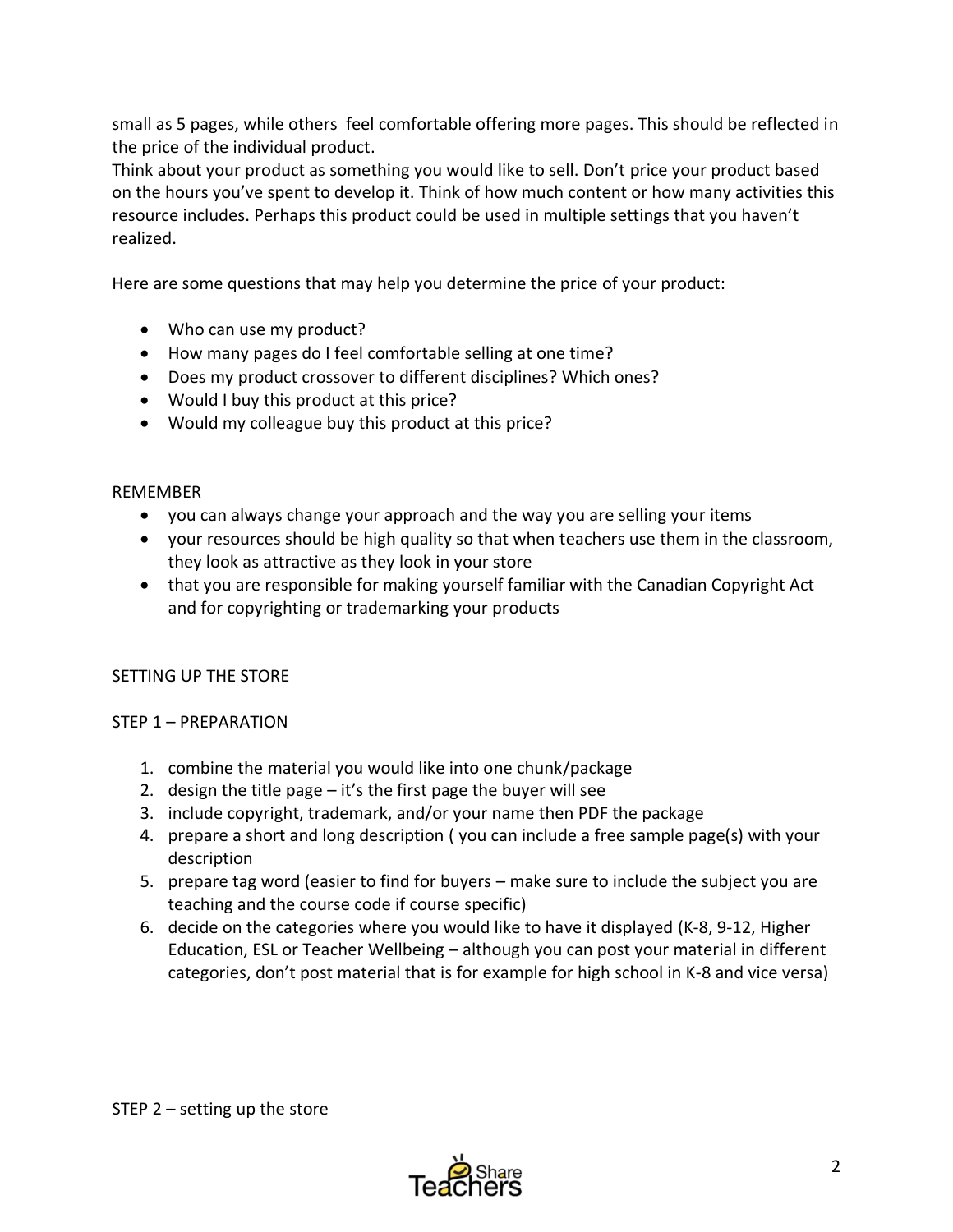small as 5 pages, while others feel comfortable offering more pages. This should be reflected in the price of the individual product.

Think about your product as something you would like to sell. Don't price your product based on the hours you've spent to develop it. Think of how much content or how many activities this resource includes. Perhaps this product could be used in multiple settings that you haven't realized.

Here are some questions that may help you determine the price of your product:

- Who can use my product?
- How many pages do I feel comfortable selling at one time?
- Does my product crossover to different disciplines? Which ones?
- Would I buy this product at this price?
- Would my colleague buy this product at this price?

## REMEMBER

- you can always change your approach and the way you are selling your items
- your resources should be high quality so that when teachers use them in the classroom, they look as attractive as they look in your store
- that you are responsible for making yourself familiar with the Canadian Copyright Act and for copyrighting or trademarking your products

# SETTING UP THE STORE

# STEP 1 – PREPARATION

- 1. combine the material you would like into one chunk/package
- 2. design the title page  $-$  it's the first page the buyer will see
- 3. include copyright, trademark, and/or your name then PDF the package
- 4. prepare a short and long description ( you can include a free sample page(s) with your description
- 5. prepare tag word (easier to find for buyers make sure to include the subject you are teaching and the course code if course specific)
- 6. decide on the categories where you would like to have it displayed (K-8, 9-12, Higher Education, ESL or Teacher Wellbeing – although you can post your material in different categories, don't post material that is for example for high school in K-8 and vice versa)

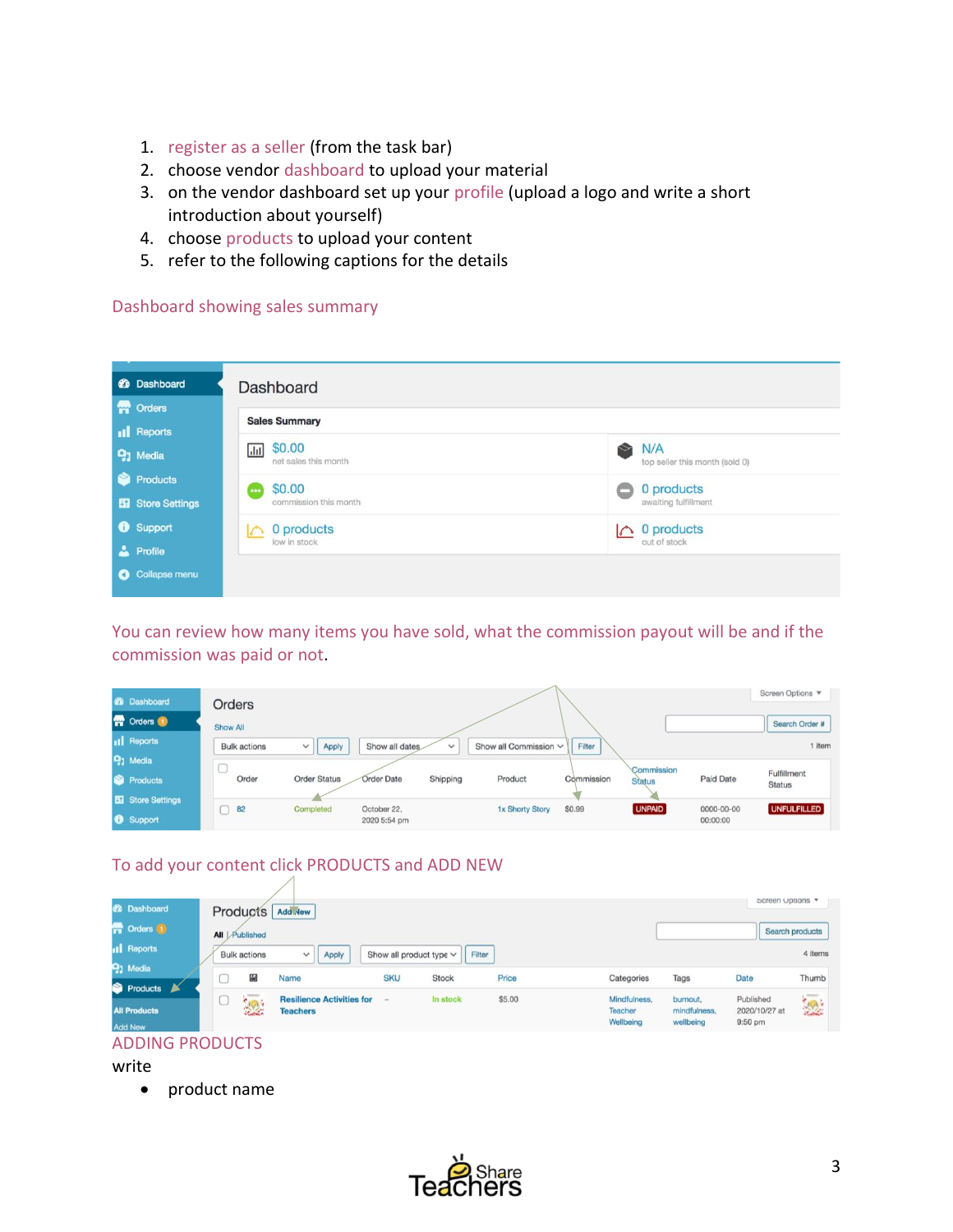- 1. register as a seller (from the task bar)
- 2. choose vendor dashboard to upload your material
- 3. on the vendor dashboard set up your profile (upload a logo and write a short introduction about yourself)
- 4. choose products to upload your content
- 5. refer to the following captions for the details

#### Dashboard showing sales summary

| <b>20</b> Dashboard        | Dashboard                                                     |                                                    |  |  |  |
|----------------------------|---------------------------------------------------------------|----------------------------------------------------|--|--|--|
| <b>M</b> Orders            | <b>Sales Summary</b>                                          |                                                    |  |  |  |
| <b>Il</b> Reports          |                                                               |                                                    |  |  |  |
| <b>91</b> Media            | \$0.00<br>$\vert$ , $\vert$ , $\vert$<br>net sales this month | N/A<br>$\approx$<br>top seller this month (sold 0) |  |  |  |
| Ñ<br>Products              | \$0.00<br>ene <sup>1</sup>                                    | 0 products                                         |  |  |  |
| Store Settings             | commission this month                                         | awaiting fulfillment                               |  |  |  |
| <b>6</b> Support           | 0 products<br>$\sim$                                          | 0 products<br>$\sim$                               |  |  |  |
| Profile                    | low in stock                                                  | out of stock                                       |  |  |  |
| Collapse menu<br>$\bullet$ |                                                               |                                                    |  |  |  |

You can review how many items you have sold, what the commission payout will be and if the commission was paid or not.

| <b>20 Dashboard</b><br><b>T</b> Orders                  | Orders<br>Show All                                                                                |                                                                                                        | Screen Options<br>Search Order #                                                          |
|---------------------------------------------------------|---------------------------------------------------------------------------------------------------|--------------------------------------------------------------------------------------------------------|-------------------------------------------------------------------------------------------|
| <b>Il</b> Reports<br><b>91 Media</b><br><b>Products</b> | Apply<br><b>Bulk actions</b><br>$\checkmark$<br><b>Order Status</b><br>Order<br><b>Order Date</b> | Show all dates<br>Filter<br>Show all Commission V<br>$\checkmark$<br>Shipping<br>Product<br>Commission | 1 item<br>Commission<br>Fulfillment<br><b>Paid Date</b><br><b>Status</b><br><b>Status</b> |
| <b>ET Store Settings</b><br><b>8</b> Support            | Completed<br>$\bigcap$ 82<br>October 22.                                                          | \$0.99<br>1x Shorty Story<br>2020 5:54 pm                                                              | <b>UNPAID</b><br><b>UNFULFILLED</b><br>0000-00-00<br>00:00:00                             |

# To add your content click PRODUCTS and ADD NEW

|                        |     |                     |                                                     |                              |              |        |                                      |                                       | Screen Uptions                          |                 |
|------------------------|-----|---------------------|-----------------------------------------------------|------------------------------|--------------|--------|--------------------------------------|---------------------------------------|-----------------------------------------|-----------------|
| <b>&amp; Dashboard</b> |     | Products            | Add New                                             |                              |              |        |                                      |                                       |                                         |                 |
| <b>Corders</b> 1       | All | Published           |                                                     |                              |              |        |                                      |                                       |                                         | Search products |
| <b>Il</b> Reports      |     | <b>Bulk actions</b> | $\check{~}$<br>Apply                                | Show all product type $\vee$ | Filter       |        |                                      |                                       |                                         | 4 items         |
| <b>91</b> Media        |     | S.                  | Name                                                | <b>SKU</b>                   | <b>Stock</b> | Price  | Categories                           | Tags                                  | Date                                    | Thumb           |
| Products               |     |                     |                                                     |                              |              |        |                                      |                                       |                                         |                 |
| <b>All Products</b>    |     |                     | <b>Resilience Activities for</b><br><b>Teachers</b> | $\sim$                       | In stock     | \$5.00 | Mindfulness,<br>Teacher<br>Wellbeing | burnout.<br>mindfulness,<br>wellbeing | Published<br>2020/10/27 at<br>$9:50$ pm |                 |
| <b>Add New</b>         |     |                     |                                                     |                              |              |        |                                      |                                       |                                         |                 |

#### ADDING PRODUCTS

write

• product name

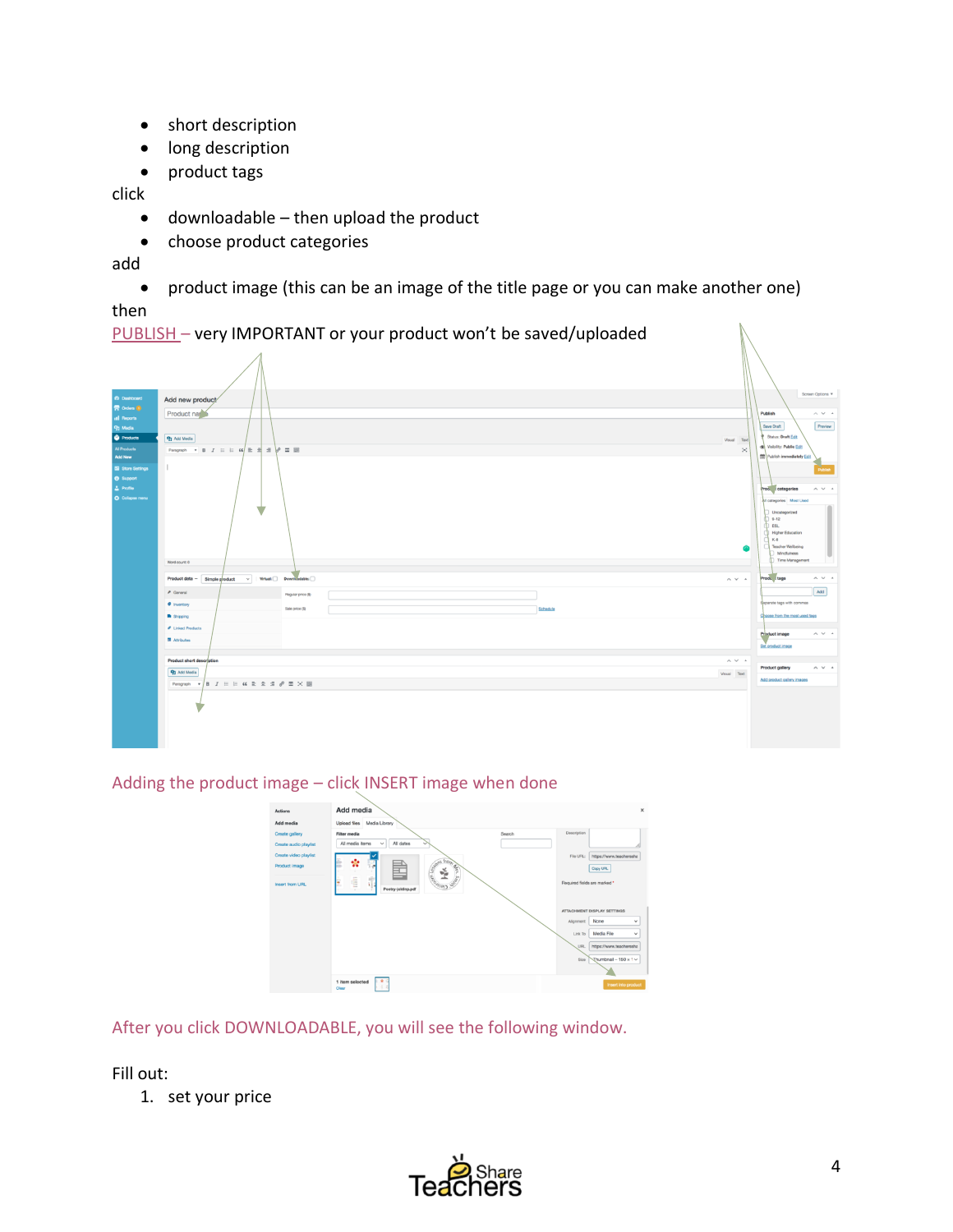- short description
- long description
- product tags

click

- downloadable then upload the product
- choose product categories

add

• product image (this can be an image of the title page or you can make another one) then

PUBLISH – very IMPORTANT or your product won't be saved/uploaded

| 29 Dashboard<br>骨 Orders (B)<br><b>all Reports</b><br>91 Media<br><b>Products</b><br><b>All Products</b><br><b>Add New</b><br>Eil Store Settings<br><b>8</b> Support<br>A. Profile<br>O Collapse manu | Add new product<br>Product name<br>91 Add Media<br>Paragraph $\mathbf{v}$ <b>B</b> $I \equiv \equiv 44 \equiv \frac{1}{24}$ $\Rightarrow$ $\mathbf{w}$ <b>E</b> $\equiv$<br>v. | Visual Text<br>$\,\approx$             | Screen Options<br>Publish<br>$\wedge$ $\vee$ $\hspace{0.1cm}\mbox{}^{\ast}$<br>Preview<br>Save Draft<br>Status: Draft Edit<br>C Valbility: Public Edit<br>Publish immediately Edit<br>$\land~\lor~$ $\land$<br>Prod. categories<br>All categories Most Used<br>Uncategorized<br>12<br>$\bigcirc$ csu<br>Higher Education |
|-------------------------------------------------------------------------------------------------------------------------------------------------------------------------------------------------------|--------------------------------------------------------------------------------------------------------------------------------------------------------------------------------|----------------------------------------|--------------------------------------------------------------------------------------------------------------------------------------------------------------------------------------------------------------------------------------------------------------------------------------------------------------------------|
|                                                                                                                                                                                                       | Word count: 0                                                                                                                                                                  |                                        | $K - B$<br><b>Teacher Wellbeing</b><br>Mindfulness<br>Time Management                                                                                                                                                                                                                                                    |
|                                                                                                                                                                                                       | $Product data = \fbox{Simple product} \quad \lor \quad \text{Vrtual} \quad \text{Down}$                                                                                        | $\land$ $\lor$ $\;$ $\;$ $\;$          | Produ tags<br>$\wedge\ \vee\ \wedge$                                                                                                                                                                                                                                                                                     |
|                                                                                                                                                                                                       | $P$ General<br>Regular price (\$)                                                                                                                                              |                                        | Add                                                                                                                                                                                                                                                                                                                      |
|                                                                                                                                                                                                       | · Inventory<br>Sale price (\$)<br>Schedule                                                                                                                                     |                                        | Separate tags with commas                                                                                                                                                                                                                                                                                                |
|                                                                                                                                                                                                       | <b>B</b> Shipping                                                                                                                                                              |                                        | Choose from the most used tegs                                                                                                                                                                                                                                                                                           |
|                                                                                                                                                                                                       | <b>P</b> Linked Products<br><b>Ell</b> Attributes                                                                                                                              |                                        | $\wedge$ $\vee$ $\hspace{0.1cm}\mbox{}^{\wedge}$<br>Product image                                                                                                                                                                                                                                                        |
|                                                                                                                                                                                                       |                                                                                                                                                                                |                                        | Set product image                                                                                                                                                                                                                                                                                                        |
|                                                                                                                                                                                                       | Product short description                                                                                                                                                      | $\wedge$ $\vee$ $\hspace{0.1cm}\dashv$ |                                                                                                                                                                                                                                                                                                                          |
|                                                                                                                                                                                                       | 91 Add Media                                                                                                                                                                   | Visual Text                            | $\wedge$ $\vee$ $\hspace{0.1cm}\mbox{}^{\wedge}$<br><b>Product gallery</b>                                                                                                                                                                                                                                               |
|                                                                                                                                                                                                       | $B I \equiv A \equiv 4 \cdot 2 \cdot 3 \cdot 3$<br>Paragraph v                                                                                                                 |                                        | Add product gallery images                                                                                                                                                                                                                                                                                               |
|                                                                                                                                                                                                       |                                                                                                                                                                                |                                        |                                                                                                                                                                                                                                                                                                                          |

Adding the product image – click INSERT image when done

| Actions                      | Add media                                                                    |        |                              |                             | $\times$ |
|------------------------------|------------------------------------------------------------------------------|--------|------------------------------|-----------------------------|----------|
| Add media                    | Upload files<br>Media Library                                                |        |                              |                             |          |
| <b>Create gallery</b>        | <b>Filter</b> media                                                          | Search | Description                  |                             |          |
| <b>Create audio playlist</b> | All dates<br>All media items<br>v<br>v                                       |        |                              |                             |          |
| Create video playlist        |                                                                              |        | File URL:                    | https://www.teacherssha     |          |
| Product image                | ns from As<br>ŵ                                                              |        |                              | Copy URL                    |          |
| <b>Insert from URL</b>       | $\epsilon$<br>ģ<br>÷<br><b>WASPD MA</b><br>Ŧ.<br>Poetry-jok6np.pdf<br>$\sim$ |        | Required fields are marked * |                             |          |
|                              |                                                                              |        |                              | ATTACHMENT DISPLAY SETTINGS |          |
|                              |                                                                              |        | Alignment                    | None<br>$\checkmark$        |          |
|                              |                                                                              |        | Link To                      | Media File<br>$\checkmark$  |          |
|                              |                                                                              |        | <b>URL</b>                   | https://www.teacherssha     |          |
|                              |                                                                              |        | Size                         | Thumbnail - 150 x 1 $\vee$  |          |
|                              |                                                                              |        |                              |                             |          |
|                              | E e d<br>1 item selected<br>4.4<br>Clear                                     |        |                              | Insert into product         |          |
|                              |                                                                              |        |                              |                             |          |

After you click DOWNLOADABLE, you will see the following window.

Fill out:

1. set your price



 $\mathbb N$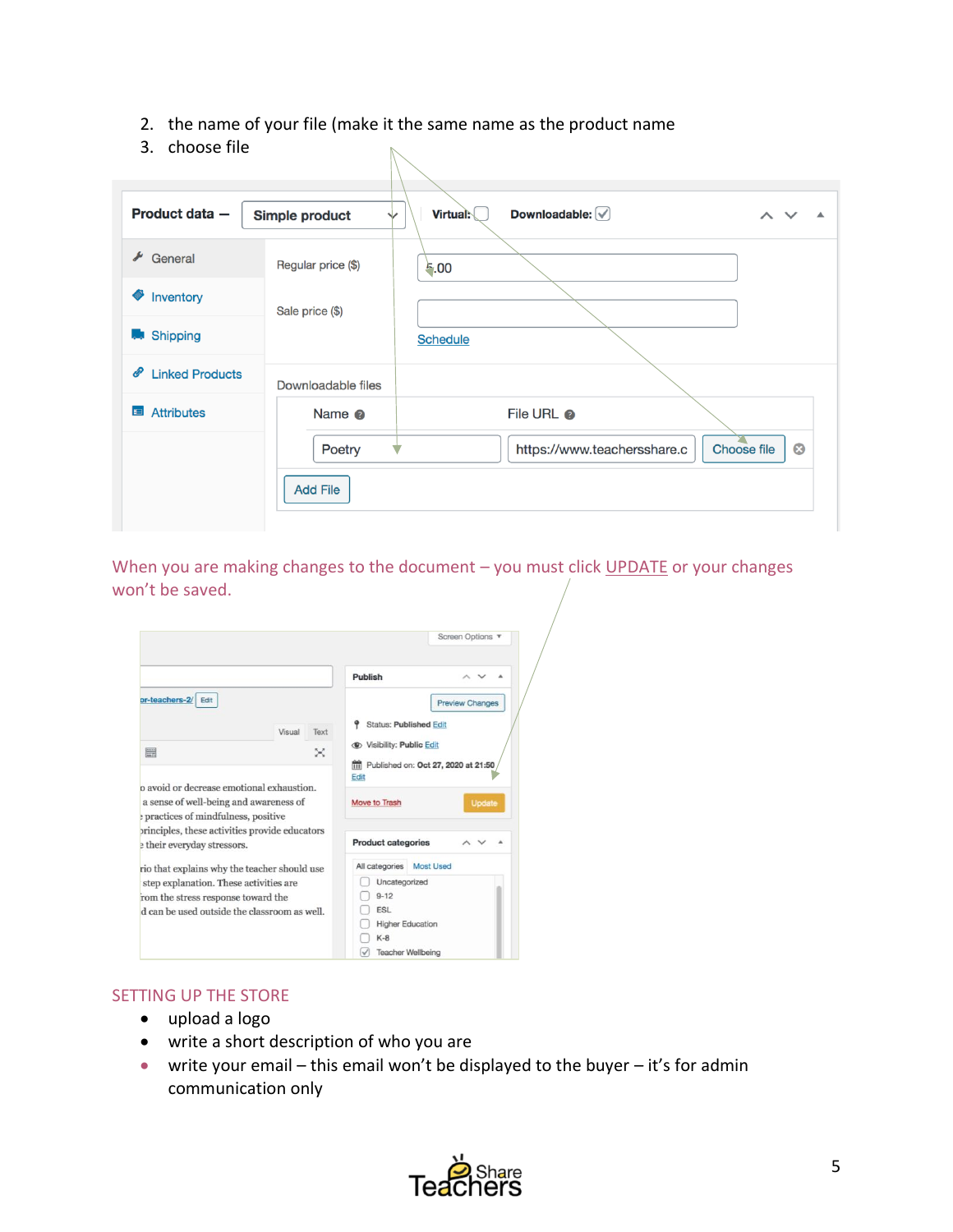- 2. the name of your file (make it the same name as the product name
- 3. choose file

| Product data -              | Simple product<br>▽       | Downloadable: $\boxed{\checkmark}$<br>Virtual:<br>$\wedge$ |
|-----------------------------|---------------------------|------------------------------------------------------------|
| $\triangle$ General         | Regular price (\$)        | 5.00                                                       |
| <b>SEPTER</b><br>Inventory  | Sale price (\$)           |                                                            |
| <b>Shipping</b><br>أحاما    |                           | <b>Schedule</b>                                            |
| <b>Linked Products</b><br>P | Downloadable files        |                                                            |
| ⊞<br><b>Attributes</b>      | Name <sup>®</sup>         | File URL <sup>®</sup>                                      |
|                             | Poetry<br><b>Add File</b> | $\bullet$<br>https://www.teachersshare.c<br>Choose file    |

When you are making changes to the document – you must click UPDATE or your changes won't be saved.

|                                                                                                                   | Screen Options v                                                                   |
|-------------------------------------------------------------------------------------------------------------------|------------------------------------------------------------------------------------|
|                                                                                                                   | Publish                                                                            |
| pr-teachers-2/ Edit<br>Visual<br>Text                                                                             | <b>Preview Changes</b><br><b>Status: Published Edit</b>                            |
| um)<br>×<br>p avoid or decrease emotional exhaustion.                                                             | <b>Edit</b> Visibility: Public Edit<br>Fublished on: Oct 27, 2020 at 21:50<br>Edit |
| a sense of well-being and awareness of                                                                            | Move to Trash<br>Update                                                            |
| practices of mindfulness, positive<br>principles, these activities provide educators<br>their everyday stressors. | <b>Product categories</b>                                                          |

# SETTING UP THE STORE

- upload a logo
- write a short description of who you are
- write your email this email won't be displayed to the buyer it's for admin communication only